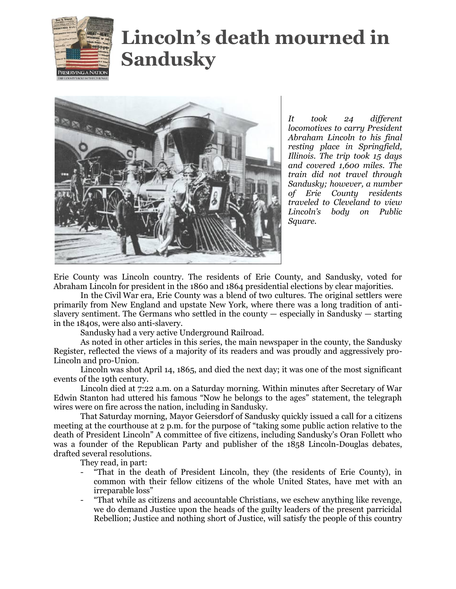

## **Lincoln's death mourned in Sandusky**



*It took 24 different locomotives to carry President Abraham Lincoln to his final resting place in Springfield, Illinois. The trip took 15 days and covered 1,600 miles. The train did not travel through Sandusky; however, a number of Erie County residents traveled to Cleveland to view Lincoln's body on Public Square.*

Erie County was Lincoln country. The residents of Erie County, and Sandusky, voted for Abraham Lincoln for president in the 1860 and 1864 presidential elections by clear majorities.

In the Civil War era, Erie County was a blend of two cultures. The original settlers were primarily from New England and upstate New York, where there was a long tradition of antislavery sentiment. The Germans who settled in the county — especially in Sandusky — starting in the 1840s, were also anti-slavery.

Sandusky had a very active Underground Railroad.

As noted in other articles in this series, the main newspaper in the county, the Sandusky Register, reflected the views of a majority of its readers and was proudly and aggressively pro-Lincoln and pro-Union.

Lincoln was shot April 14, 1865, and died the next day; it was one of the most significant events of the 19th century.

Lincoln died at 7:22 a.m. on a Saturday morning. Within minutes after Secretary of War Edwin Stanton had uttered his famous "Now he belongs to the ages" statement, the telegraph wires were on fire across the nation, including in Sandusky.

That Saturday morning, Mayor Geiersdorf of Sandusky quickly issued a call for a citizens meeting at the courthouse at 2 p.m. for the purpose of "taking some public action relative to the death of President Lincoln" A committee of five citizens, including Sandusky's Oran Follett who was a founder of the Republican Party and publisher of the 1858 Lincoln-Douglas debates, drafted several resolutions.

They read, in part:

- "That in the death of President Lincoln, they (the residents of Erie County), in common with their fellow citizens of the whole United States, have met with an irreparable loss"
- "That while as citizens and accountable Christians, we eschew anything like revenge, we do demand Justice upon the heads of the guilty leaders of the present parricidal Rebellion; Justice and nothing short of Justice, will satisfy the people of this country